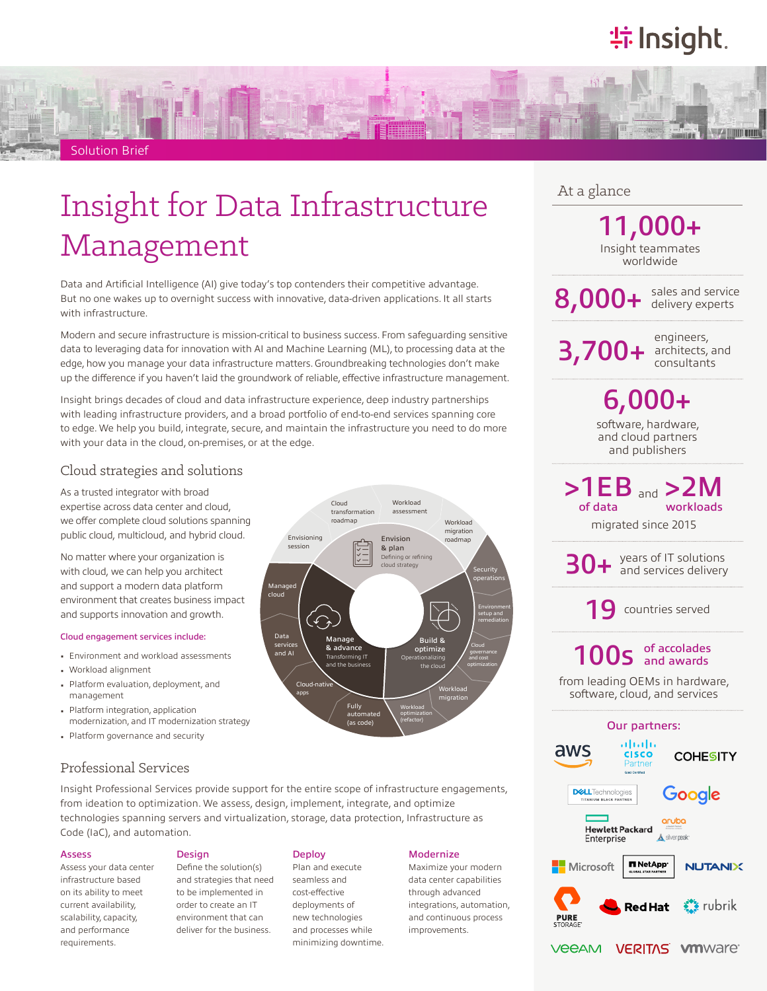## **特Insight**



# Insight for Data Infrastructure Management

Data and Artificial Intelligence (AI) give today's top contenders their competitive advantage. But no one wakes up to overnight success with innovative, data-driven applications. It all starts with infrastructure.

Modern and secure infrastructure is mission-critical to business success. From safeguarding sensitive data to leveraging data for innovation with AI and Machine Learning (ML), to processing data at the edge, how you manage your data infrastructure matters. Groundbreaking technologies don't make up the difference if you haven't laid the groundwork of reliable, effective infrastructure management.

Insight brings decades of cloud and data infrastructure experience, deep industry partnerships with leading infrastructure providers, and a broad portfolio of end-to-end services spanning core to edge. We help you build, integrate, secure, and maintain the infrastructure you need to do more with your data in the cloud, on-premises, or at the edge.

## Cloud strategies and solutions

As a trusted integrator with broad expertise across data center and cloud, we offer complete cloud solutions spanning public cloud, multicloud, and hybrid cloud.

No matter where your organization is with cloud, we can help you architect and support a modern data platform environment that creates business impact and supports innovation and growth.

#### Cloud engagement services include:

- Environment and workload assessments
- Workload alignment
- Platform evaluation, deployment, and management
- Platform integration, application modernization, and IT modernization strategy
- Platform governance and security

## Professional Services

Insight Professional Services provide support for the entire scope of infrastructure engagements, from ideation to optimization. We assess, design, implement, integrate, and optimize technologies spanning servers and virtualization, storage, data protection, Infrastructure as Code (IaC), and automation.

#### Assess

Assess your data center infrastructure based on its ability to meet current availability, scalability, capacity, and performance requirements.

#### **Design**

Define the solution(s) and strategies that need to be implemented in order to create an IT environment that can deliver for the business.

#### **Deploy**

Plan and execute seamless and cost-effective deployments of new technologies and processes while minimizing downtime.

#### **Modernize**

Maximize your modern data center capabilities through advanced integrations, automation, and continuous process improvements.

## At a glance

Insight teammates worldwide 11,000+

8,000+ sales and service

 $3,700+$  architects, and

engineers,

software, hardware, and cloud partners and publishers 6,000+

 $>1EB$  and  $>2M$ of data workloads

migrated since 2015

years of IT solutions<br>and services delivery

19 countries served

## 100s of accolades

from leading OEMs in hardware, software, cloud, and services